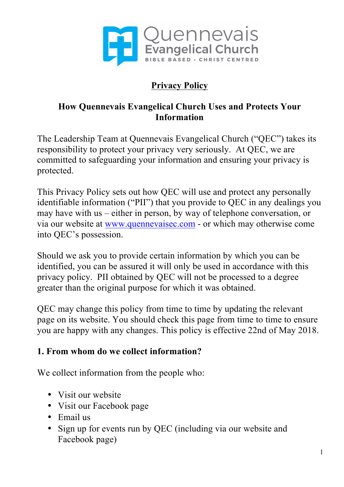

# **Privacy Policy**

## **How Quennevais Evangelical Church Uses and Protects Your Information**

The Leadership Team at Quennevais Evangelical Church ("QEC") takes its responsibility to protect your privacy very seriously. At QEC, we are committed to safeguarding your information and ensuring your privacy is protected.

This Privacy Policy sets out how QEC will use and protect any personally identifiable information ("PII") that you provide to QEC in any dealings you may have with us – either in person, by way of telephone conversation, or via our website at www.quennevaisec.com - or which may otherwise come into QEC's possession.

Should we ask you to provide certain information by which you can be identified, you can be assured it will only be used in accordance with this privacy policy. PII obtained by QEC will not be processed to a degree greater than the original purpose for which it was obtained.

QEC may change this policy from time to time by updating the relevant page on its website. You should check this page from time to time to ensure you are happy with any changes. This policy is effective 22nd of May 2018.

### **1. From whom do we collect information?**

We collect information from the people who:

- Visit our website
- Visit our Facebook page
- Email us
- Sign up for events run by QEC (including via our website and Facebook page)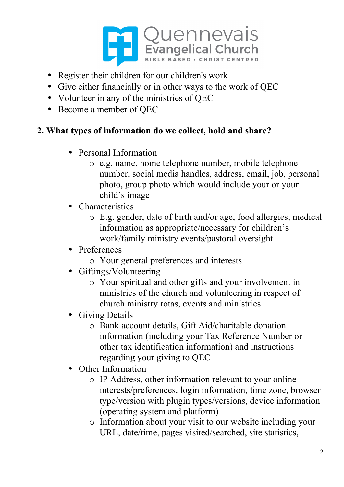

- Register their children for our children's work
- Give either financially or in other ways to the work of QEC
- Volunteer in any of the ministries of OEC
- Become a member of QEC

## **2. What types of information do we collect, hold and share?**

- Personal Information
	- o e.g. name, home telephone number, mobile telephone number, social media handles, address, email, job, personal photo, group photo which would include your or your child's image
- Characteristics
	- o E.g. gender, date of birth and/or age, food allergies, medical information as appropriate/necessary for children's work/family ministry events/pastoral oversight
- Preferences
	- o Your general preferences and interests
- Giftings/Volunteering
	- o Your spiritual and other gifts and your involvement in ministries of the church and volunteering in respect of church ministry rotas, events and ministries
- Giving Details
	- o Bank account details, Gift Aid/charitable donation information (including your Tax Reference Number or other tax identification information) and instructions regarding your giving to QEC
- Other Information
	- o IP Address, other information relevant to your online interests/preferences, login information, time zone, browser type/version with plugin types/versions, device information (operating system and platform)
	- o Information about your visit to our website including your URL, date/time, pages visited/searched, site statistics,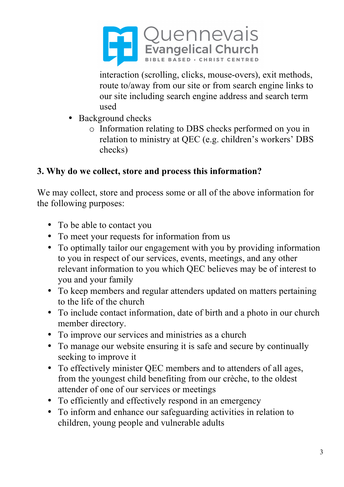

interaction (scrolling, clicks, mouse-overs), exit methods, route to/away from our site or from search engine links to our site including search engine address and search term used

- Background checks
	- o Information relating to DBS checks performed on you in relation to ministry at QEC (e.g. children's workers' DBS checks)

## **3. Why do we collect, store and process this information?**

We may collect, store and process some or all of the above information for the following purposes:

- To be able to contact you
- To meet your requests for information from us
- To optimally tailor our engagement with you by providing information to you in respect of our services, events, meetings, and any other relevant information to you which QEC believes may be of interest to you and your family
- To keep members and regular attenders updated on matters pertaining to the life of the church
- To include contact information, date of birth and a photo in our church member directory.
- To improve our services and ministries as a church
- To manage our website ensuring it is safe and secure by continually seeking to improve it
- To effectively minister QEC members and to attenders of all ages, from the youngest child benefiting from our crèche, to the oldest attender of one of our services or meetings
- To efficiently and effectively respond in an emergency
- To inform and enhance our safeguarding activities in relation to children, young people and vulnerable adults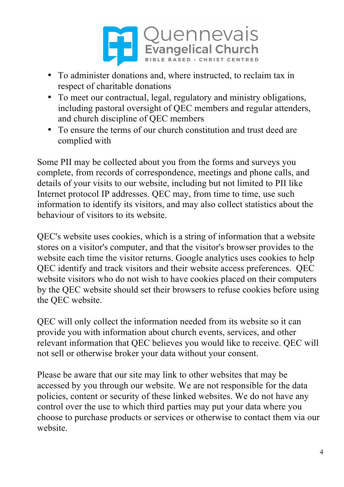

- To administer donations and, where instructed, to reclaim tax in respect of charitable donations
- To meet our contractual, legal, regulatory and ministry obligations, including pastoral oversight of QEC members and regular attenders, and church discipline of QEC members
- To ensure the terms of our church constitution and trust deed are complied with

Some PII may be collected about you from the forms and surveys you complete, from records of correspondence, meetings and phone calls, and details of your visits to our website, including but not limited to PII like Internet protocol IP addresses. QEC may, from time to time, use such information to identify its visitors, and may also collect statistics about the behaviour of visitors to its website.

QEC's website uses cookies, which is a string of information that a website stores on a visitor's computer, and that the visitor's browser provides to the website each time the visitor returns. Google analytics uses cookies to help QEC identify and track visitors and their website access preferences. QEC website visitors who do not wish to have cookies placed on their computers by the QEC website should set their browsers to refuse cookies before using the QEC website.

QEC will only collect the information needed from its website so it can provide you with information about church events, services, and other relevant information that QEC believes you would like to receive. QEC will not sell or otherwise broker your data without your consent.

Please be aware that our site may link to other websites that may be accessed by you through our website. We are not responsible for the data policies, content or security of these linked websites. We do not have any control over the use to which third parties may put your data where you choose to purchase products or services or otherwise to contact them via our website.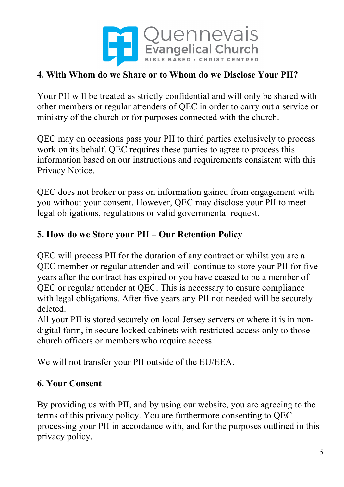

## **4. With Whom do we Share or to Whom do we Disclose Your PII?**

Your PII will be treated as strictly confidential and will only be shared with other members or regular attenders of QEC in order to carry out a service or ministry of the church or for purposes connected with the church.

QEC may on occasions pass your PII to third parties exclusively to process work on its behalf. QEC requires these parties to agree to process this information based on our instructions and requirements consistent with this Privacy Notice.

QEC does not broker or pass on information gained from engagement with you without your consent. However, QEC may disclose your PII to meet legal obligations, regulations or valid governmental request.

# **5. How do we Store your PII – Our Retention Policy**

QEC will process PII for the duration of any contract or whilst you are a QEC member or regular attender and will continue to store your PII for five years after the contract has expired or you have ceased to be a member of QEC or regular attender at QEC. This is necessary to ensure compliance with legal obligations. After five years any PII not needed will be securely deleted.

All your PII is stored securely on local Jersey servers or where it is in nondigital form, in secure locked cabinets with restricted access only to those church officers or members who require access.

We will not transfer your PII outside of the EU/EEA.

## **6. Your Consent**

By providing us with PII, and by using our website, you are agreeing to the terms of this privacy policy. You are furthermore consenting to QEC processing your PII in accordance with, and for the purposes outlined in this privacy policy.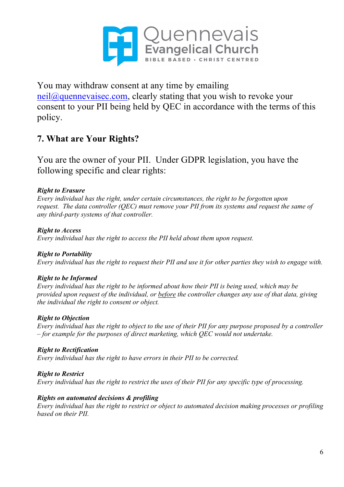

You may withdraw consent at any time by emailing neil@quennevaisec.com, clearly stating that you wish to revoke your consent to your PII being held by QEC in accordance with the terms of this policy.

### **7. What are Your Rights?**

You are the owner of your PII. Under GDPR legislation, you have the following specific and clear rights:

#### *Right to Erasure*

*Every individual has the right, under certain circumstances, the right to be forgotten upon request. The data controller (QEC) must remove your PII from its systems and request the same of any third-party systems of that controller.*

*Right to Access Every individual has the right to access the PII held about them upon request.*

#### *Right to Portability*

Every individual has the right to request their PII and use it for other parties they wish to engage with.

#### *Right to be Informed*

*Every individual has the right to be informed about how their PII is being used, which may be provided upon request of the individual, or before the controller changes any use of that data, giving the individual the right to consent or object.*

#### *Right to Objection*

Every individual has the right to object to the use of their PII for any purpose proposed by a controller *– for example for the purposes of direct marketing, which QEC would not undertake.*

*Right to Rectification Every individual has the right to have errors in their PII to be corrected.*

*Right to Restrict* Every individual has the right to restrict the uses of their PII for any specific type of processing.

#### *Rights on automated decisions & profiling*

*Every individual has the right to restrict or object to automated decision making processes or profiling based on their PII.*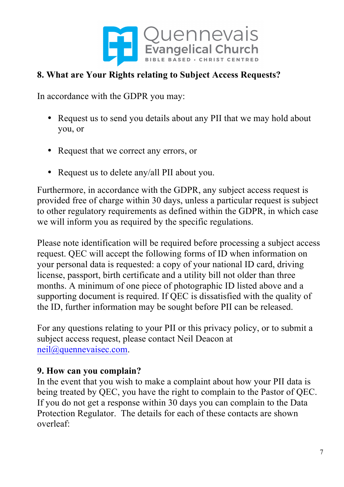

### **8. What are Your Rights relating to Subject Access Requests?**

In accordance with the GDPR you may:

- Request us to send you details about any PII that we may hold about you, or
- Request that we correct any errors, or
- Request us to delete any/all PII about you.

Furthermore, in accordance with the GDPR, any subject access request is provided free of charge within 30 days, unless a particular request is subject to other regulatory requirements as defined within the GDPR, in which case we will inform you as required by the specific regulations.

Please note identification will be required before processing a subject access request. QEC will accept the following forms of ID when information on your personal data is requested: a copy of your national ID card, driving license, passport, birth certificate and a utility bill not older than three months. A minimum of one piece of photographic ID listed above and a supporting document is required. If QEC is dissatisfied with the quality of the ID, further information may be sought before PII can be released.

For any questions relating to your PII or this privacy policy, or to submit a subject access request, please contact Neil Deacon at neil@quennevaisec.com.

#### **9. How can you complain?**

In the event that you wish to make a complaint about how your PII data is being treated by QEC, you have the right to complain to the Pastor of QEC. If you do not get a response within 30 days you can complain to the Data Protection Regulator. The details for each of these contacts are shown overleaf: